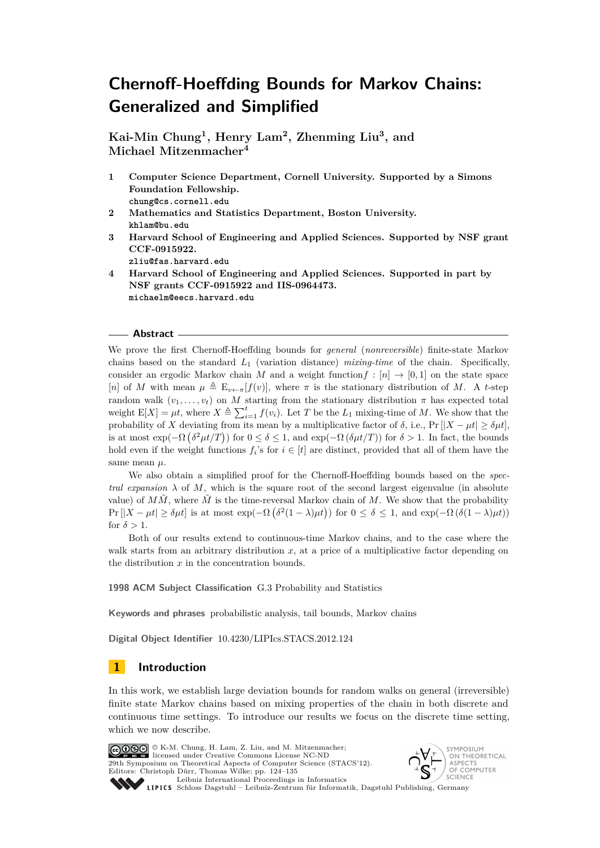**Kai-Min Chung<sup>1</sup> , Henry Lam<sup>2</sup> , Zhenming Liu<sup>3</sup> , and Michael Mitzenmacher<sup>4</sup>**

- **1 Computer Science Department, Cornell University. Supported by a Simons Foundation Fellowship. chung@cs.cornell.edu**
- **2 Mathematics and Statistics Department, Boston University. khlam@bu.edu**
- **3 Harvard School of Engineering and Applied Sciences. Supported by NSF grant CCF-0915922.**

**zliu@fas.harvard.edu**

**4 Harvard School of Engineering and Applied Sciences. Supported in part by NSF grants CCF-0915922 and IIS-0964473. michaelm@eecs.harvard.edu**

## **Abstract**

We prove the first Chernoff-Hoeffding bounds for *general* (*nonreversible*) finite-state Markov chains based on the standard *L*<sup>1</sup> (variation distance) *mixing-time* of the chain. Specifically, consider an ergodic Markov chain *M* and a weight function  $f : [n] \rightarrow [0,1]$  on the state space [*n*] of *M* with mean  $\mu \triangleq E_{v \leftarrow \pi}[f(v)]$ , where  $\pi$  is the stationary distribution of *M*. A *t*-step random walk  $(v_1, \ldots, v_t)$  on *M* starting from the stationary distribution  $\pi$  has expected total weight  $E[X] = \mu t$ , where  $X \triangleq \sum_{i=1}^{t} f(v_i)$ . Let *T* be the  $L_1$  mixing-time of *M*. We show that the probability of *X* deviating from its mean by a multiplicative factor of  $\delta$ , i.e., Pr  $||X - \mu t| \geq \delta \mu t$ , is at most  $\exp(-\Omega(\delta^2\mu t/T))$  for  $0 \le \delta \le 1$ , and  $\exp(-\Omega(\delta\mu t/T))$  for  $\delta > 1$ . In fact, the bounds hold even if the weight functions  $f_i$ 's for  $i \in [t]$  are distinct, provided that all of them have the same mean *µ*.

We also obtain a simplified proof for the Chernoff-Hoeffding bounds based on the *spectral expansion*  $\lambda$  of *M*, which is the square root of the second largest eigenvalue (in absolute value) of  $M\tilde{M}$ , where  $\tilde{M}$  is the time-reversal Markov chain of  $M$ . We show that the probability  $\Pr\left[|X-\mu t|\geq \delta \mu t\right]$  is at most  $\exp(-\Omega\left(\delta^2(1-\lambda)\mu t\right))$  for  $0 \leq \delta \leq 1$ , and  $\exp(-\Omega\left(\delta(1-\lambda)\mu t\right))$ for  $\delta > 1$ .

Both of our results extend to continuous-time Markov chains, and to the case where the walk starts from an arbitrary distribution  $x$ , at a price of a multiplicative factor depending on the distribution *x* in the concentration bounds.

**1998 ACM Subject Classification** G.3 Probability and Statistics

**Keywords and phrases** probabilistic analysis, tail bounds, Markov chains

**Digital Object Identifier** [10.4230/LIPIcs.STACS.2012.124](http://dx.doi.org/10.4230/LIPIcs.STACS.2012.124)

## **1 Introduction**

In this work, we establish large deviation bounds for random walks on general (irreversible) finite state Markov chains based on mixing properties of the chain in both discrete and continuous time settings. To introduce our results we focus on the discrete time setting, which we now describe.





Leibniz international Floretungs in miorimetrix<br>
LIPICS [Schloss Dagstuhl – Leibniz-Zentrum für Informatik, Dagstuhl Publishing, Germany](http://www.dagstuhl.de)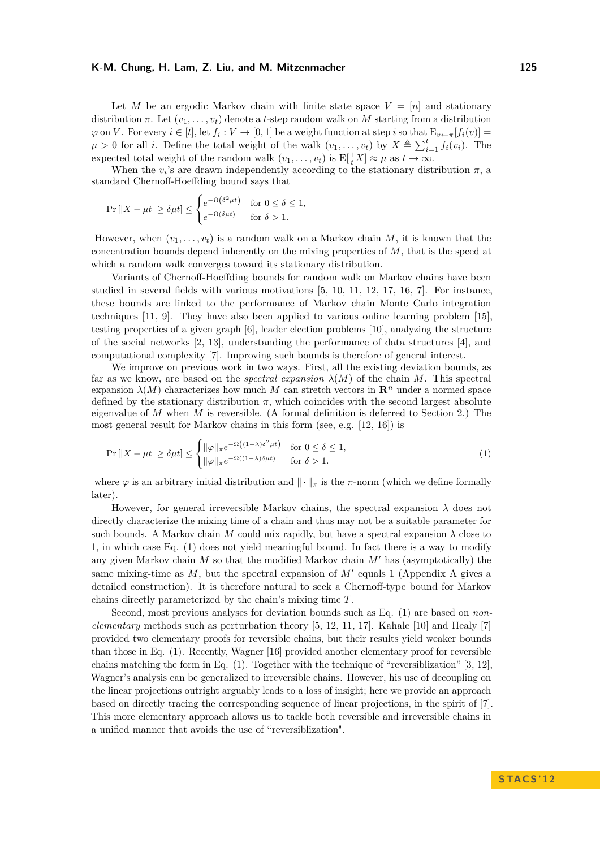Let *M* be an ergodic Markov chain with finite state space  $V = [n]$  and stationary distribution  $\pi$ . Let  $(v_1, \ldots, v_t)$  denote a *t*-step random walk on *M* starting from a distribution  $\varphi$  on *V*. For every  $i \in [t]$ , let  $f_i: V \to [0, 1]$  be a weight function at step *i* so that  $E_{v \leftarrow \pi}[f_i(v)] =$  $\mu > 0$  for all *i*. Define the total weight of the walk  $(v_1, \ldots, v_t)$  by  $X \triangleq \sum_{i=1}^t f_i(v_i)$ . The expected total weight of the random walk  $(v_1, \ldots, v_t)$  is  $E[\frac{1}{t}X] \approx \mu$  as  $t \to \infty$ .

When the  $v_i$ 's are drawn independently according to the stationary distribution  $\pi$ , a standard Chernoff-Hoeffding bound says that

$$
\Pr\left[|X - \mu t| \ge \delta \mu t\right] \le \begin{cases} e^{-\Omega(\delta^2 \mu t)} & \text{for } 0 \le \delta \le 1, \\ e^{-\Omega(\delta \mu t)} & \text{for } \delta > 1. \end{cases}
$$

However, when  $(v_1, \ldots, v_t)$  is a random walk on a Markov chain *M*, it is known that the concentration bounds depend inherently on the mixing properties of *M*, that is the speed at which a random walk converges toward its stationary distribution.

Variants of Chernoff-Hoeffding bounds for random walk on Markov chains have been studied in several fields with various motivations [\[5,](#page-10-0) [10,](#page-10-1) [11,](#page-10-2) [12,](#page-10-3) [17,](#page-11-1) [16,](#page-11-2) [7\]](#page-10-4). For instance, these bounds are linked to the performance of Markov chain Monte Carlo integration techniques [\[11,](#page-10-2) [9\]](#page-10-5). They have also been applied to various online learning problem [\[15\]](#page-10-6), testing properties of a given graph [\[6\]](#page-10-7), leader election problems [\[10\]](#page-10-1), analyzing the structure of the social networks [\[2,](#page-10-8) [13\]](#page-10-9), understanding the performance of data structures [\[4\]](#page-10-10), and computational complexity [\[7\]](#page-10-4). Improving such bounds is therefore of general interest.

We improve on previous work in two ways. First, all the existing deviation bounds, as far as we know, are based on the *spectral expansion*  $\lambda(M)$  of the chain M. This spectral expansion  $\lambda(M)$  characterizes how much M can stretch vectors in  $\mathbb{R}^n$  under a normed space defined by the stationary distribution  $\pi$ , which coincides with the second largest absolute eigenvalue of *M* when *M* is reversible. (A formal definition is deferred to Section [2.](#page-2-0)) The most general result for Markov chains in this form (see, e.g. [\[12,](#page-10-3) [16\]](#page-11-2)) is

<span id="page-1-0"></span>
$$
\Pr\left[|X - \mu t| \ge \delta \mu t\right] \le \begin{cases} \|\varphi\|_{\pi} e^{-\Omega\left((1-\lambda)\delta^2 \mu t\right)} & \text{for } 0 \le \delta \le 1, \\ \|\varphi\|_{\pi} e^{-\Omega\left((1-\lambda)\delta \mu t\right)} & \text{for } \delta > 1. \end{cases} \tag{1}
$$

where  $\varphi$  is an arbitrary initial distribution and  $\|\cdot\|_{\pi}$  is the  $\pi$ -norm (which we define formally later).

However, for general irreversible Markov chains, the spectral expansion  $\lambda$  does not directly characterize the mixing time of a chain and thus may not be a suitable parameter for such bounds. A Markov chain *M* could mix rapidly, but have a spectral expansion  $\lambda$  close to 1, in which case Eq. [\(1\)](#page-1-0) does not yield meaningful bound. In fact there is a way to modify any given Markov chain  $M$  so that the modified Markov chain  $M'$  has (asymptotically) the same mixing-time as  $M$ , but the spectral expansion of  $M'$  equals 1 (Appendix [A](#page-11-3) gives a detailed construction). It is therefore natural to seek a Chernoff-type bound for Markov chains directly parameterized by the chain's mixing time *T*.

Second, most previous analyses for deviation bounds such as Eq. [\(1\)](#page-1-0) are based on *nonelementary* methods such as perturbation theory [\[5,](#page-10-0) [12,](#page-10-3) [11,](#page-10-2) [17\]](#page-11-1). Kahale [\[10\]](#page-10-1) and Healy [\[7\]](#page-10-4) provided two elementary proofs for reversible chains, but their results yield weaker bounds than those in Eq. [\(1\)](#page-1-0). Recently, Wagner [\[16\]](#page-11-2) provided another elementary proof for reversible chains matching the form in Eq. [\(1\)](#page-1-0). Together with the technique of "reversiblization" [\[3,](#page-10-11) [12\]](#page-10-3), Wagner's analysis can be generalized to irreversible chains. However, his use of decoupling on the linear projections outright arguably leads to a loss of insight; here we provide an approach based on directly tracing the corresponding sequence of linear projections, in the spirit of [\[7\]](#page-10-4). This more elementary approach allows us to tackle both reversible and irreversible chains in a unified manner that avoids the use of "reversiblization".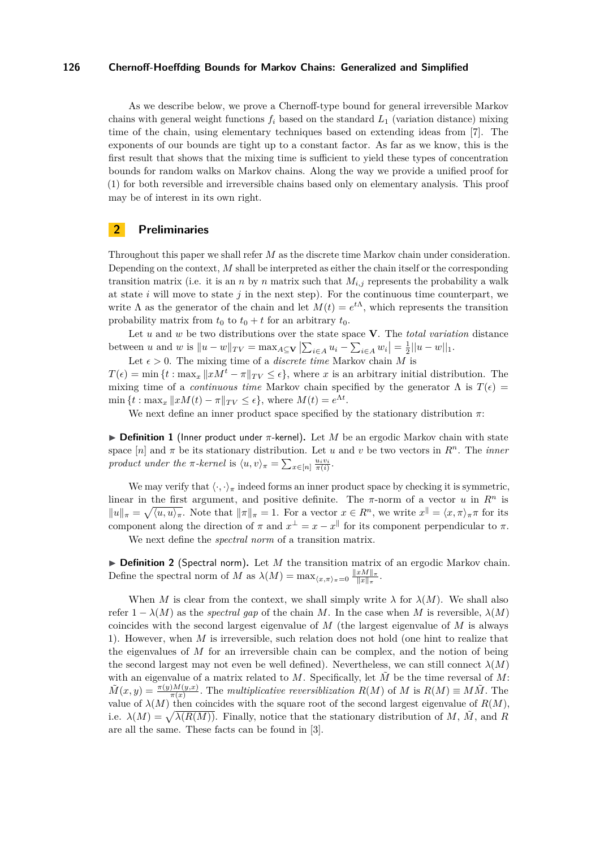As we describe below, we prove a Chernoff-type bound for general irreversible Markov chains with general weight functions  $f_i$  based on the standard  $L_1$  (variation distance) mixing time of the chain, using elementary techniques based on extending ideas from [\[7\]](#page-10-4). The exponents of our bounds are tight up to a constant factor. As far as we know, this is the first result that shows that the mixing time is sufficient to yield these types of concentration bounds for random walks on Markov chains. Along the way we provide a unified proof for [\(1\)](#page-1-0) for both reversible and irreversible chains based only on elementary analysis. This proof may be of interest in its own right.

## <span id="page-2-0"></span>**2 Preliminaries**

Throughout this paper we shall refer *M* as the discrete time Markov chain under consideration. Depending on the context, *M* shall be interpreted as either the chain itself or the corresponding transition matrix (i.e. it is an *n* by *n* matrix such that  $M_{i,j}$  represents the probability a walk at state *i* will move to state *j* in the next step). For the continuous time counterpart, we write  $\Lambda$  as the generator of the chain and let  $M(t) = e^{t\Lambda}$ , which represents the transition probability matrix from  $t_0$  to  $t_0 + t$  for an arbitrary  $t_0$ .

Let *u* and *w* be two distributions over the state space **V**. The *total variation* distance between *u* and *w* is  $||u - w||_{TV} = \max_{A \subseteq V} |\sum_{i \in A} u_i - \sum_{i \in A} w_i| = \frac{1}{2} ||u - w||_1$ .

Let  $\epsilon > 0$ . The mixing time of a *discrete time* Markov chain *M* is

 $T(\epsilon) = \min \{ t : \max_x \| xM^t - \pi \|_{TV} \leq \epsilon \},$  where *x* is an arbitrary initial distribution. The mixing time of a *continuous time* Markov chain specified by the generator  $\Lambda$  is  $T(\epsilon)$  $\min \{ t : \max_x \| xM(t) - \pi \|_{TV} \leq \epsilon \},$  where  $M(t) = e^{\Lambda t}$ .

We next define an inner product space specified by the stationary distribution  $\pi$ :

**Definition 1** (Inner product under  $\pi$ -kernel). Let M be an ergodic Markov chain with state space  $[n]$  and  $\pi$  be its stationary distribution. Let *u* and *v* be two vectors in  $R^n$ . The *inner product under the*  $\pi$ *-kernel* is  $\langle u, v \rangle_{\pi} = \sum_{x \in [n]} \frac{u_i v_i}{\pi(i)}$ .

We may verify that  $\langle \cdot, \cdot \rangle_{\pi}$  indeed forms an inner product space by checking it is symmetric, linear in the first argument, and positive definite. The  $\pi$ -norm of a vector *u* in  $R^n$  is  $||u||_{\pi} = \sqrt{\langle u, u \rangle_{\pi}}$ . Note that  $||\pi||_{\pi} = 1$ . For a vector  $x \in R^n$ , we write  $x^{\parallel} = \langle x, \pi \rangle_{\pi} \pi$  for its component along the direction of  $\pi$  and  $x^{\perp} = x - x^{\parallel}$  for its component perpendicular to  $\pi$ .

We next define the *spectral norm* of a transition matrix.

 $\triangleright$  **Definition 2** (Spectral norm). Let *M* the transition matrix of an ergodic Markov chain. Define the spectral norm of *M* as  $\lambda(M) = \max_{\langle x,\pi \rangle_{\pi}=0} \frac{\|xM\|_{\pi}}{\|x\|_{\pi}}$  $\frac{xM||\pi}{||x||_\pi}$ .

When *M* is clear from the context, we shall simply write  $\lambda$  for  $\lambda(M)$ . We shall also refer  $1 - \lambda(M)$  as the *spectral gap* of the chain *M*. In the case when *M* is reversible,  $\lambda(M)$ coincides with the second largest eigenvalue of *M* (the largest eigenvalue of *M* is always 1). However, when *M* is irreversible, such relation does not hold (one hint to realize that the eigenvalues of *M* for an irreversible chain can be complex, and the notion of being the second largest may not even be well defined). Nevertheless, we can still connect  $\lambda(M)$ with an eigenvalue of a matrix related to M. Specifically, let  $\tilde{M}$  be the time reversal of M:  $\tilde{M}(x, y) = \frac{\pi(y)M(y, x)}{\pi(x)}$ . The *multiplicative reversiblization*  $R(M)$  of *M* is  $R(M) \equiv M\tilde{M}$ . The value of  $\lambda(M)$  then coincides with the square root of the second largest eigenvalue of  $R(M)$ , i.e.  $\lambda(M) = \sqrt{\lambda(R(M))}$ . Finally, notice that the stationary distribution of *M*,  $\tilde{M}$ , and *R* are all the same. These facts can be found in [\[3\]](#page-10-11).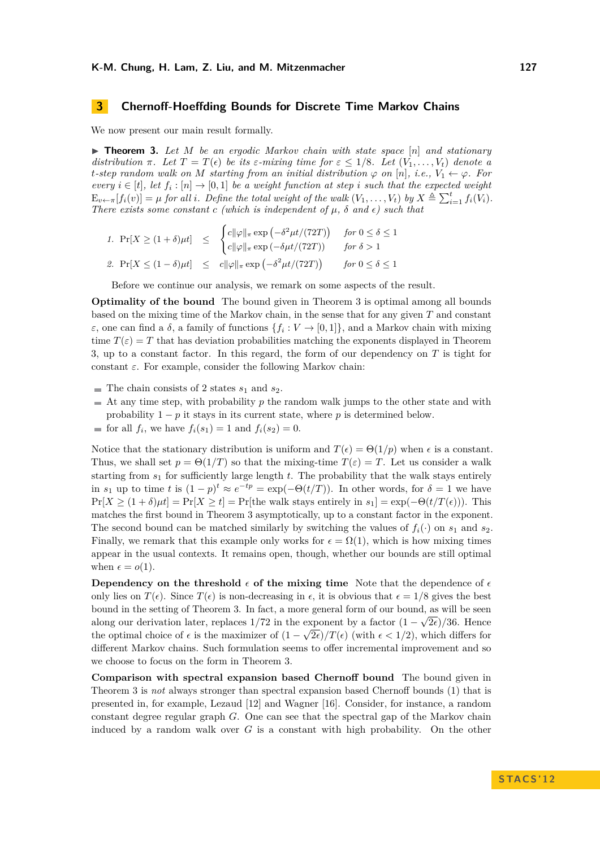## **3 Chernoff-Hoeffding Bounds for Discrete Time Markov Chains**

We now present our main result formally.

<span id="page-3-0"></span> $\triangleright$  **Theorem 3.** Let M be an ergodic Markov chain with state space  $[n]$  and stationary *distribution*  $\pi$ *. Let*  $T = T(\epsilon)$  *be its*  $\epsilon$ *-mixing time for*  $\epsilon \leq 1/8$ *. Let*  $(V_1, \ldots, V_t)$  *denote* a *t-step random walk on M starting from an initial distribution*  $\varphi$  *on* [*n*]*, i.e.,*  $V_1 \leftarrow \varphi$ *. For every*  $i \in [t]$ , let  $f_i : [n] \to [0,1]$  be a weight function at step *i* such that the expected weight  $E_{v \leftarrow \pi}[f_i(v)] = \mu$  for all i. Define the total weight of the walk  $(V_1, \ldots, V_t)$  by  $X \triangleq \sum_{i=1}^t f_i(V_i)$ . *There exists some constant c* (which is independent of  $\mu$ ,  $\delta$  and  $\epsilon$ ) such that

1. 
$$
\Pr[X \ge (1+\delta)\mu t] \le \begin{cases} c\|\varphi\|_{\pi} \exp\left(-\delta^2 \mu t/(72T)\right) & \text{for } 0 \le \delta \le 1 \\ c\|\varphi\|_{\pi} \exp\left(-\delta \mu t/(72T)\right) & \text{for } \delta > 1 \end{cases}
$$
  
2. 
$$
\Pr[X \le (1-\delta)\mu t] \le c\|\varphi\|_{\pi} \exp\left(-\delta^2 \mu t/(72T)\right) \quad \text{for } 0 \le \delta \le 1
$$

Before we continue our analysis, we remark on some aspects of the result.

**Optimality of the bound** The bound given in Theorem [3](#page-3-0) is optimal among all bounds based on the mixing time of the Markov chain, in the sense that for any given *T* and constant *ε*, one can find a *δ*, a family of functions  $\{f_i: V \to [0,1]\}$ , and a Markov chain with mixing time  $T(\varepsilon) = T$  that has deviation probabilities matching the exponents displayed in Theorem [3,](#page-3-0) up to a constant factor. In this regard, the form of our dependency on *T* is tight for constant *ε*. For example, consider the following Markov chain:

- $\blacksquare$  The chain consists of 2 states  $s_1$  and  $s_2$ .
- $\blacksquare$  At any time step, with probability p the random walk jumps to the other state and with probability  $1 - p$  it stays in its current state, where p is determined below.
- for all  $f_i$ , we have  $f_i(s_1) = 1$  and  $f_i(s_2) = 0$ .

Notice that the stationary distribution is uniform and  $T(\epsilon) = \Theta(1/p)$  when  $\epsilon$  is a constant. Thus, we shall set  $p = \Theta(1/T)$  so that the mixing-time  $T(\varepsilon) = T$ . Let us consider a walk starting from *s*<sup>1</sup> for sufficiently large length *t*. The probability that the walk stays entirely in  $s_1$  up to time *t* is  $(1 - p)^t \approx e^{-tp} = \exp(-\Theta(t/T))$ . In other words, for  $\delta = 1$  we have  $Pr[X \ge (1 + \delta)\mu t] = Pr[X \ge t] = Pr[\text{the walk stays entirely in } s_1] = \exp(-\Theta(t/T(\epsilon)))$ . This matches the first bound in Theorem [3](#page-3-0) asymptotically, up to a constant factor in the exponent. The second bound can be matched similarly by switching the values of  $f_i(\cdot)$  on  $s_1$  and  $s_2$ . Finally, we remark that this example only works for  $\epsilon = \Omega(1)$ , which is how mixing times appear in the usual contexts. It remains open, though, whether our bounds are still optimal when  $\epsilon = o(1)$ .

**Dependency on the threshold**  $\epsilon$  of the mixing time Note that the dependence of  $\epsilon$ only lies on  $T(\epsilon)$ . Since  $T(\epsilon)$  is non-decreasing in  $\epsilon$ , it is obvious that  $\epsilon = 1/8$  gives the best bound in the setting of Theorem [3.](#page-3-0) In fact, a more general form of our bound, as will be seen along our derivation later, replaces  $1/72$  in the exponent by a factor  $(1-\sqrt{2\epsilon})/36$ . Hence the optimal choice of  $\epsilon$  is the maximizer of  $(1 - \sqrt{2\epsilon})/T(\epsilon)$  (with  $\epsilon < 1/2$ ), which differs for different Markov chains. Such formulation seems to offer incremental improvement and so we choose to focus on the form in Theorem [3.](#page-3-0)

**Comparison with spectral expansion based Chernoff bound** The bound given in Theorem [3](#page-3-0) is *not* always stronger than spectral expansion based Chernoff bounds [\(1\)](#page-1-0) that is presented in, for example, Lezaud [\[12\]](#page-10-3) and Wagner [\[16\]](#page-11-2). Consider, for instance, a random constant degree regular graph *G*. One can see that the spectral gap of the Markov chain induced by a random walk over *G* is a constant with high probability. On the other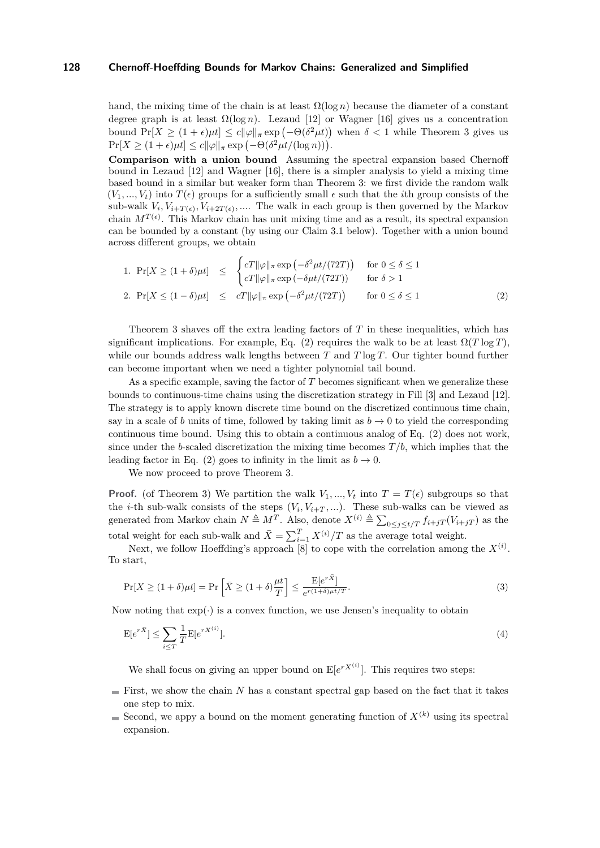hand, the mixing time of the chain is at least  $\Omega(\log n)$  because the diameter of a constant degree graph is at least  $\Omega(\log n)$ . Lezaud [\[12\]](#page-10-3) or Wagner [\[16\]](#page-11-2) gives us a concentration bound  $Pr[X \ge (1 + \epsilon)\mu t] \le c \|\varphi\|_{\pi} \exp(-\Theta(\delta^2 \mu t))$  when  $\delta < 1$  while Theorem [3](#page-3-0) gives us  $\Pr[X \ge (1+\epsilon)\mu t] \le c \|\varphi\|_{\pi} \exp(-\Theta(\delta^2 \mu t/(\log n))).$ 

**Comparison with a union bound** Assuming the spectral expansion based Chernoff bound in Lezaud [\[12\]](#page-10-3) and Wagner [\[16\]](#page-11-2), there is a simpler analysis to yield a mixing time based bound in a similar but weaker form than Theorem [3:](#page-3-0) we first divide the random walk  $(V_1, ..., V_t)$  into  $T(\epsilon)$  groups for a sufficiently small  $\epsilon$  such that the *i*<sup>th</sup> group consists of the sub-walk  $V_i, V_{i+T(\epsilon)}, V_{i+2T(\epsilon)}, \dots$  The walk in each group is then governed by the Markov chain  $M^{T(\epsilon)}$ . This Markov chain has unit mixing time and as a result, its spectral expansion can be bounded by a constant (by using our Claim [3.1](#page-5-0) below). Together with a union bound across different groups, we obtain

<span id="page-4-0"></span>1. 
$$
\Pr[X \ge (1+\delta)\mu t] \le \begin{cases} cT\|\varphi\|_{\pi} \exp\left(-\delta^2 \mu t/(72T)\right) & \text{for } 0 \le \delta \le 1\\ cT\|\varphi\|_{\pi} \exp\left(-\delta \mu t/(72T)\right) & \text{for } \delta > 1 \end{cases}
$$
  
2. 
$$
\Pr[X \le (1-\delta)\mu t] \le cT\|\varphi\|_{\pi} \exp\left(-\delta^2 \mu t/(72T)\right) \quad \text{for } 0 \le \delta \le 1
$$
 (2)

Theorem [3](#page-3-0) shaves off the extra leading factors of *T* in these inequalities, which has significant implications. For example, Eq. [\(2\)](#page-4-0) requires the walk to be at least  $\Omega(T \log T)$ , while our bounds address walk lengths between *T* and *T* log *T*. Our tighter bound further can become important when we need a tighter polynomial tail bound.

As a specific example, saving the factor of *T* becomes significant when we generalize these bounds to continuous-time chains using the discretization strategy in Fill [\[3\]](#page-10-11) and Lezaud [\[12\]](#page-10-3). The strategy is to apply known discrete time bound on the discretized continuous time chain, say in a scale of *b* units of time, followed by taking limit as  $b \rightarrow 0$  to yield the corresponding continuous time bound. Using this to obtain a continuous analog of Eq. [\(2\)](#page-4-0) does not work, since under the *b*-scaled discretization the mixing time becomes  $T/b$ , which implies that the leading factor in Eq. [\(2\)](#page-4-0) goes to infinity in the limit as  $b \to 0$ .

We now proceed to prove Theorem [3.](#page-3-0)

**Proof.** (of Theorem [3\)](#page-3-0) We partition the walk  $V_1, ..., V_t$  into  $T = T(\epsilon)$  subgroups so that the *i*-th sub-walk consists of the steps  $(V_i, V_{i+T}, ...)$ . These sub-walks can be viewed as generated from Markov chain  $N \triangleq M^T$ . Also, denote  $X^{(i)} \triangleq \sum_{0 \leq j \leq t/T} f_{i+jT}(V_{i+jT})$  as the total weight for each sub-walk and  $\bar{X} = \sum_{i=1}^{T} X^{(i)}/T$  as the average total weight.

Next, we follow Hoeffding's approach  $[8]$  to cope with the correlation among the  $X^{(i)}$ . To start,

<span id="page-4-1"></span>
$$
\Pr[X \ge (1+\delta)\mu t] = \Pr\left[\bar{X} \ge (1+\delta)\frac{\mu t}{T}\right] \le \frac{\mathbb{E}[e^{r\bar{X}}]}{e^{r(1+\delta)\mu t/T}}.\tag{3}
$$

Now noting that  $exp(\cdot)$  is a convex function, we use Jensen's inequality to obtain

$$
\mathbf{E}[e^{r\bar{X}}] \le \sum_{i \le T} \frac{1}{T} \mathbf{E}[e^{rX^{(i)}}].\tag{4}
$$

<span id="page-4-2"></span>We shall focus on giving an upper bound on  $E[e^{rX^{(i)}}]$ . This requires two steps:

- First, we show the chain  $N$  has a constant spectral gap based on the fact that it takes one step to mix.
- Second, we appy a bound on the moment generating function of  $X^{(k)}$  using its spectral expansion.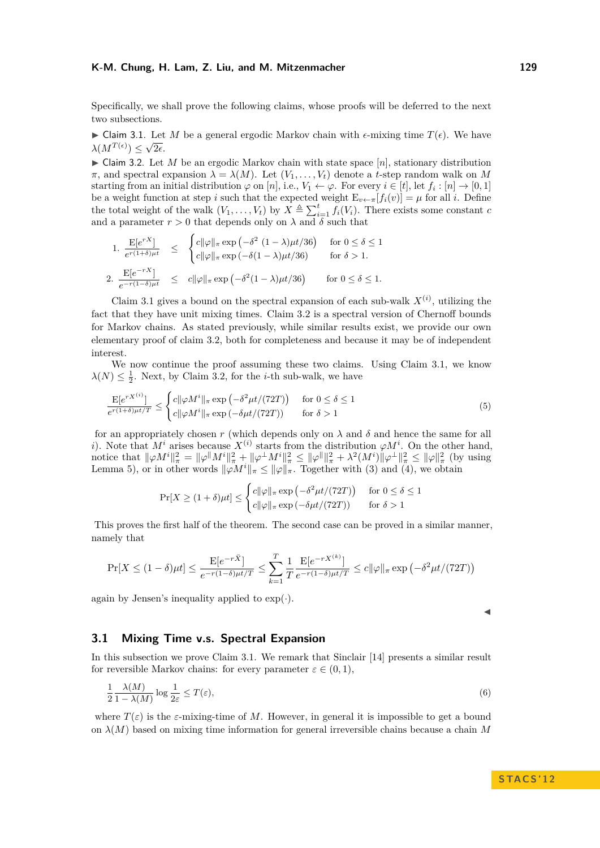Specifically, we shall prove the following claims, whose proofs will be deferred to the next two subsections.

<span id="page-5-0"></span>► Claim 3.1. Let *M* be a general ergodic Markov chain with  $\epsilon$ -mixing time  $T(\epsilon)$ . We have  $\lambda(M^{T(\epsilon)}) \leq \sqrt{2\epsilon}.$ 

<span id="page-5-1"></span> $\triangleright$  Claim 3.2. Let *M* be an ergodic Markov chain with state space [*n*], stationary distribution  $\pi$ , and spectral expansion  $\lambda = \lambda(M)$ . Let  $(V_1, \ldots, V_t)$  denote a *t*-step random walk on M starting from an initial distribution  $\varphi$  on [*n*], i.e.,  $V_1 \leftarrow \varphi$ . For every  $i \in [t]$ , let  $f_i : [n] \rightarrow [0, 1]$ be a weight function at step *i* such that the expected weight  $E_{v \leftarrow \pi}[f_i(v)] = \mu$  for all *i*. Define the total weight of the walk  $(V_1, \ldots, V_t)$  by  $X \triangleq \sum_{i=1}^t f_i(V_i)$ . There exists some constant *c* and a parameter  $r > 0$  that depends only on  $\lambda$  and  $\delta$  such that

1. 
$$
\frac{\mathbf{E}[e^{rX}]}{e^{r(1+\delta)\mu t}} \leq \begin{cases} c\|\varphi\|_{\pi} \exp\left(-\delta^2 (1-\lambda)\mu t/36\right) & \text{for } 0 \leq \delta \leq 1\\ c\|\varphi\|_{\pi} \exp\left(-\delta(1-\lambda)\mu t/36\right) & \text{for } \delta > 1. \end{cases}
$$
  
2. 
$$
\frac{\mathbf{E}[e^{-rX}]}{e^{-r(1-\delta)\mu t}} \leq c\|\varphi\|_{\pi} \exp\left(-\delta^2 (1-\lambda)\mu t/36\right) \quad \text{for } 0 \leq \delta \leq 1.
$$

Claim [3.1](#page-5-0) gives a bound on the spectral expansion of each sub-walk  $X^{(i)}$ , utilizing the fact that they have unit mixing times. Claim [3.2](#page-5-1) is a spectral version of Chernoff bounds for Markov chains. As stated previously, while similar results exist, we provide our own elementary proof of claim [3.2,](#page-5-1) both for completeness and because it may be of independent interest.

We now continue the proof assuming these two claims. Using Claim [3.1,](#page-5-0) we know  $\lambda(N) \leq \frac{1}{2}$ . Next, by Claim [3.2,](#page-5-1) for the *i*-th sub-walk, we have

$$
\frac{\mathbf{E}[e^{rX^{(i)}}]}{e^{r(1+\delta)\mu t/T}} \le \begin{cases} c\|\varphi M^i\|_{\pi} \exp\left(-\delta^2 \mu t/(72T)\right) & \text{for } 0 \le \delta \le 1\\ c\|\varphi M^i\|_{\pi} \exp\left(-\delta \mu t/(72T)\right) & \text{for } \delta > 1 \end{cases} \tag{5}
$$

for an appropriately chosen *r* (which depends only on  $\lambda$  and  $\delta$  and hence the same for all *i*). Note that  $M^i$  arises because  $X^{(i)}$  starts from the distribution  $\varphi M^i$ . On the other hand, notice that  $\|\varphi M^i\|_{\pi}^2 = \|\varphi^{\|} M^i\|_{\pi}^2 + \|\varphi^{\perp} M^i\|_{\pi}^2 \le \|\varphi^{\|}\|_{\pi}^2 + \lambda^2 (M^i) \|\varphi^{\perp}\|_{\pi}^2 \le \|\varphi\|_{\pi}^2$  (by using Lemma [5\)](#page-8-0), or in other words  $\|\varphi M^i\|_{\pi} \le \|\varphi\|_{\pi}$ . Together with [\(3\)](#page-4-1) and [\(4\)](#page-4-2), we obtain

$$
\Pr[X \ge (1+\delta)\mu t] \le \begin{cases} c\|\varphi\|_{\pi} \exp\left(-\delta^2 \mu t/(72T)\right) & \text{for } 0 \le \delta \le 1\\ c\|\varphi\|_{\pi} \exp\left(-\delta \mu t/(72T)\right) & \text{for } \delta > 1 \end{cases}
$$

This proves the first half of the theorem. The second case can be proved in a similar manner, namely that

$$
\Pr[X \le (1 - \delta)\mu t] \le \frac{\mathbb{E}[e^{-r\bar{X}}]}{e^{-r(1-\delta)\mu t/T}} \le \sum_{k=1}^{T} \frac{1}{T} \frac{\mathbb{E}[e^{-rX^{(k)}}]}{e^{-r(1-\delta)\mu t/T}} \le c \|\varphi\|_{\pi} \exp\left(-\delta^2 \mu t/(72T)\right)
$$

again by Jensen's inequality applied to  $\exp(\cdot)$ .

## **3.1 Mixing Time v.s. Spectral Expansion**

In this subsection we prove Claim [3.1.](#page-5-0) We remark that Sinclair [\[14\]](#page-10-13) presents a similar result for reversible Markov chains: for every parameter  $\varepsilon \in (0,1)$ ,

$$
\frac{1}{2} \frac{\lambda(M)}{1 - \lambda(M)} \log \frac{1}{2\varepsilon} \le T(\varepsilon),\tag{6}
$$

where  $T(\varepsilon)$  is the  $\varepsilon$ -mixing-time of M. However, in general it is impossible to get a bound on  $\lambda(M)$  based on mixing time information for general irreversible chains because a chain M

<span id="page-5-2"></span>
$$
\overline{}
$$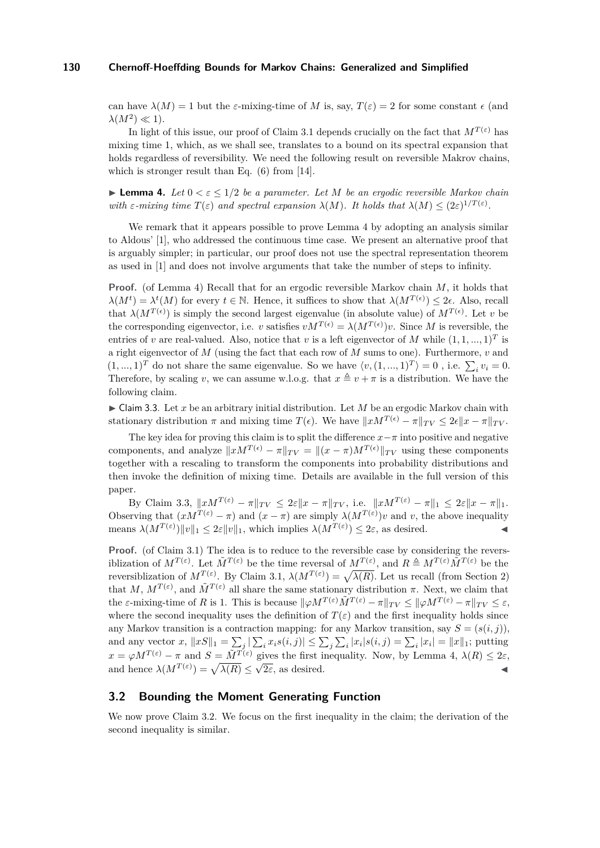can have  $\lambda(M) = 1$  but the *ε*-mixing-time of M is, say,  $T(\varepsilon) = 2$  for some constant  $\epsilon$  (and  $\lambda(M^2) \ll 1$ ).

In light of this issue, our proof of Claim [3.1](#page-5-0) depends crucially on the fact that  $M^{T(\varepsilon)}$  has mixing time 1, which, as we shall see, translates to a bound on its spectral expansion that holds regardless of reversibility. We need the following result on reversible Makrov chains, which is stronger result than Eq.  $(6)$  from [\[14\]](#page-10-13).

<span id="page-6-0"></span>**Lemma 4.** Let  $0 < \varepsilon \leq 1/2$  be a parameter. Let M be an ergodic reversible Markov chain *with*  $\varepsilon$ -mixing time  $T(\varepsilon)$  and spectral expansion  $\lambda(M)$ . It holds that  $\lambda(M) \leq (2\varepsilon)^{1/T(\varepsilon)}$ .

We remark that it appears possible to prove Lemma [4](#page-6-0) by adopting an analysis similar to Aldous' [\[1\]](#page-10-14), who addressed the continuous time case. We present an alternative proof that is arguably simpler; in particular, our proof does not use the spectral representation theorem as used in [\[1\]](#page-10-14) and does not involve arguments that take the number of steps to infinity.

**Proof.** (of Lemma [4\)](#page-6-0) Recall that for an ergodic reversible Markov chain *M*, it holds that  $\lambda(M^t) = \lambda^t(M)$  for every  $t \in \mathbb{N}$ . Hence, it suffices to show that  $\lambda(M^{T(\epsilon)}) \leq 2\epsilon$ . Also, recall that  $\lambda(M^{T(\epsilon)})$  is simply the second largest eigenvalue (in absolute value) of  $M^{T(\epsilon)}$ . Let *v* be the corresponding eigenvector, i.e. *v* satisfies  $vM^{T(\epsilon)} = \lambda(M^{T(\epsilon)})v$ . Since M is reversible, the entries of *v* are real-valued. Also, notice that *v* is a left eigenvector of *M* while  $(1, 1, ..., 1)^T$  is a right eigenvector of *M* (using the fact that each row of *M* sums to one). Furthermore, *v* and  $(1, ..., 1)^T$  do not share the same eigenvalue. So we have  $\langle v, (1, ..., 1)^T \rangle = 0$ , i.e.  $\sum_i v_i = 0$ . Therefore, by scaling *v*, we can assume w.l.o.g. that  $x \triangleq v + \pi$  is a distribution. We have the following claim.

<span id="page-6-1"></span> $\triangleright$  Claim 3.3. Let *x* be an arbitrary initial distribution. Let *M* be an ergodic Markov chain with stationary distribution  $\pi$  and mixing time  $T(\epsilon)$ . We have  $\|x M^{T(\epsilon)} - \pi\|_{TV} \leq 2\epsilon \|x - \pi\|_{TV}$ .

The key idea for proving this claim is to split the difference  $x-\pi$  into positive and negative components, and analyze  $||xM^{T(\epsilon)} - \pi||_{TV} = ||(x - \pi)M^{T(\epsilon)}||_{TV}$  using these components together with a rescaling to transform the components into probability distributions and then invoke the definition of mixing time. Details are available in the full version of this paper.

By Claim [3.3,](#page-6-1)  $||xM^{T(\varepsilon)} - \pi||_{TV} \leq 2\varepsilon ||x - \pi||_{TV}$ , i.e.  $||xM^{T(\varepsilon)} - \pi||_1 \leq 2\varepsilon ||x - \pi||_1$ . Observing that  $(xM^{T(\varepsilon)} - \pi)$  and  $(x - \pi)$  are simply  $\lambda(M^{T(\varepsilon)})v$  and *v*, the above inequality means  $\lambda(M^{T(\varepsilon)})\|v\|_1 \leq 2\varepsilon\|v\|_1$ , which implies  $\lambda(M^{T(\varepsilon)}) \leq 2\varepsilon$ , as desired.

**Proof.** (of Claim [3.1\)](#page-5-0) The idea is to reduce to the reversible case by considering the reversiblization of  $M^{T(\varepsilon)}$ . Let  $\tilde{M}^{T(\varepsilon)}$  be the time reversal of  $M^{T(\varepsilon)}$ , and  $R \triangleq M^{T(\varepsilon)} \tilde{M}^{T(\varepsilon)}$  be the reversiblization of  $M^{T(\varepsilon)}$ . By Claim [3.1,](#page-5-0)  $\lambda(M^{T(\varepsilon)}) = \sqrt{\lambda(R)}$ . Let us recall (from Section [2\)](#page-2-0) that *M*,  $M^{T(\varepsilon)}$ , and  $\tilde{M}^{T(\varepsilon)}$  all share the same stationary distribution  $\pi$ . Next, we claim that the *ε*-mixing-time of *R* is 1. This is because  $\|\varphi M^{T(\varepsilon)}\tilde{M}^{T(\varepsilon)} - \pi\|_{TV} \le \|\varphi M^{T(\varepsilon)} - \pi\|_{TV} \le \varepsilon$ , where the second inequality uses the definition of  $T(\varepsilon)$  and the first inequality holds since any Markov transition is a contraction mapping: for any Markov transition, say  $S = (s(i, j)),$ and any vector  $x$ ,  $||xS||_1 = \sum_j |\sum_i x_i s(i,j)| \le \sum_j \sum_i |x_i| s(i,j) = \sum_i |x_i| = ||x||_1$ ; putting  $x = \varphi M^T(\varepsilon) - \pi$  and  $S = \tilde{M}^T(\varepsilon)$  gives the first inequality. Now, by Lemma [4,](#page-6-0)  $\lambda(R) \leq 2\varepsilon$ , and hence  $\lambda(M^{T(\varepsilon)}) = \sqrt{\lambda(R)} \leq \sqrt{2\varepsilon}$ , as desired.

## **3.2 Bounding the Moment Generating Function**

We now prove Claim [3.2.](#page-5-1) We focus on the first inequality in the claim; the derivation of the second inequality is similar.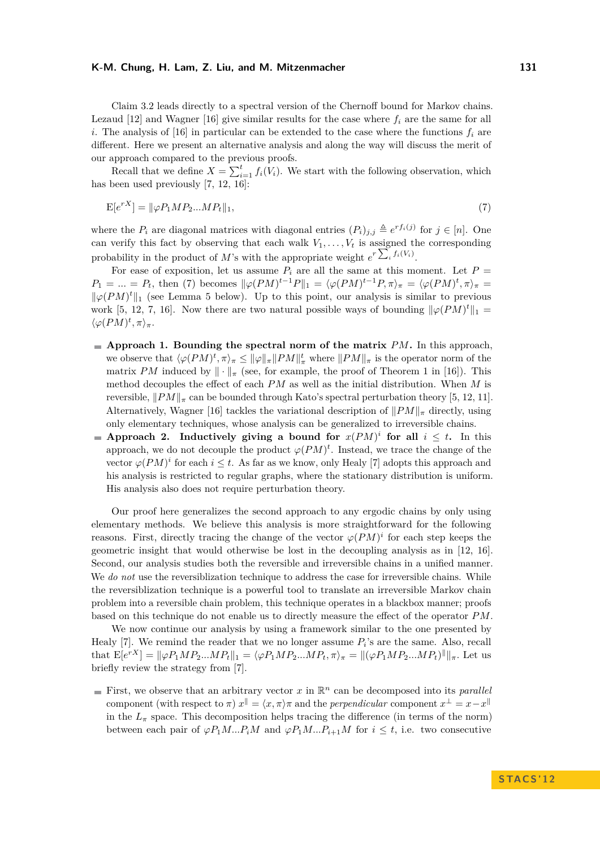Claim [3.2](#page-5-1) leads directly to a spectral version of the Chernoff bound for Markov chains. Lezaud  $[12]$  and Wagner  $[16]$  give similar results for the case where  $f_i$  are the same for all *i*. The analysis of [\[16\]](#page-11-2) in particular can be extended to the case where the functions  $f_i$  are different. Here we present an alternative analysis and along the way will discuss the merit of our approach compared to the previous proofs.

Recall that we define  $X = \sum_{i=1}^{t} f_i(V_i)$ . We start with the following observation, which has been used previously [\[7,](#page-10-4) [12,](#page-10-3) [16\]](#page-11-2):

<span id="page-7-0"></span>
$$
E[e^{rX}] = \|\varphi P_1 M P_2 ... M P_t\|_1,\tag{7}
$$

where the  $P_i$  are diagonal matrices with diagonal entries  $(P_i)_{j,j} \triangleq e^{r f_i(j)}$  for  $j \in [n]$ . One can verify this fact by observing that each walk  $V_1, \ldots, V_t$  is assigned the corresponding probability in the product of *M*'s with the appropriate weight  $e^{r \sum_i f_i(V_i)}$ .

For ease of exposition, let us assume  $P_i$  are all the same at this moment. Let  $P =$  $P_1 = ... = P_t$ , then [\(7\)](#page-7-0) becomes  $\|\varphi(PM)^{t-1}P\|_1 = \langle \varphi(PM)^{t-1}P, \pi \rangle_{\pi} = \langle \varphi(PM)^{t}, \pi \rangle_{\pi} =$  $\|\varphi(PM)^t\|_1$  (see Lemma [5](#page-8-0) below). Up to this point, our analysis is similar to previous work [\[5,](#page-10-0) [12,](#page-10-3) [7,](#page-10-4) [16\]](#page-11-2). Now there are two natural possible ways of bounding  $\|\varphi(PM)^t\|_1 =$  $\langle \varphi(PM)^t, \pi \rangle_{\pi}$ .

- **Approach 1. Bounding the spectral norm of the matrix** *PM***.** In this approach, we observe that  $\langle \varphi(PM)^t, \pi \rangle_{\pi} \leq ||\varphi||_{\pi} ||PM||_{\pi}^t$  where  $||PM||_{\pi}$  is the operator norm of the matrix *PM* induced by  $\|\cdot\|_{\pi}$  (see, for example, the proof of Theorem 1 in [\[16\]](#page-11-2)). This method decouples the effect of each *PM* as well as the initial distribution. When *M* is reversible,  $\|PM\|_{\pi}$  can be bounded through Kato's spectral perturbation theory [\[5,](#page-10-0) [12,](#page-10-3) [11\]](#page-10-2). Alternatively, Wagner [\[16\]](#page-11-2) tackles the variational description of  $\|PM\|_{\pi}$  directly, using only elementary techniques, whose analysis can be generalized to irreversible chains.
- **Approach 2.** Inductively giving a bound for  $x(PM)^i$  for all  $i \leq t$ . In this approach, we do not decouple the product  $\varphi(PM)^t$ . Instead, we trace the change of the vector  $\varphi(PM)^i$  for each  $i \leq t$ . As far as we know, only Healy [\[7\]](#page-10-4) adopts this approach and his analysis is restricted to regular graphs, where the stationary distribution is uniform. His analysis also does not require perturbation theory.

Our proof here generalizes the second approach to any ergodic chains by only using elementary methods. We believe this analysis is more straightforward for the following reasons. First, directly tracing the change of the vector  $\varphi(PM)^i$  for each step keeps the geometric insight that would otherwise be lost in the decoupling analysis as in [\[12,](#page-10-3) [16\]](#page-11-2). Second, our analysis studies both the reversible and irreversible chains in a unified manner. We *do not* use the reversiblization technique to address the case for irreversible chains. While the reversiblization technique is a powerful tool to translate an irreversible Markov chain problem into a reversible chain problem, this technique operates in a blackbox manner; proofs based on this technique do not enable us to directly measure the effect of the operator *PM*.

We now continue our analysis by using a framework similar to the one presented by Healy  $[7]$ . We remind the reader that we no longer assume  $P_i$ 's are the same. Also, recall that  $\mathbb{E}[e^{rX}] = ||\varphi P_1 M P_2 ... M P_t||_1 = \langle \varphi P_1 M P_2 ... M P_t, \pi \rangle_{\pi} = ||(\varphi P_1 M P_2 ... M P_t)^{\parallel}||_{\pi}$ . Let us briefly review the strategy from [\[7\]](#page-10-4).

First, we observe that an arbitrary vector  $x$  in  $\mathbb{R}^n$  can be decomposed into its *parallel* component (with respect to  $\pi$ )  $x^{\parallel} = \langle x, \pi \rangle \pi$  and the *perpendicular* component  $x^{\perp} = x - x^{\parallel}$ in the  $L_{\pi}$  space. This decomposition helps tracing the difference (in terms of the norm) between each pair of  $\varphi P_1 M \dots P_i M$  and  $\varphi P_1 M \dots P_{i+1} M$  for  $i \leq t$ , i.e. two consecutive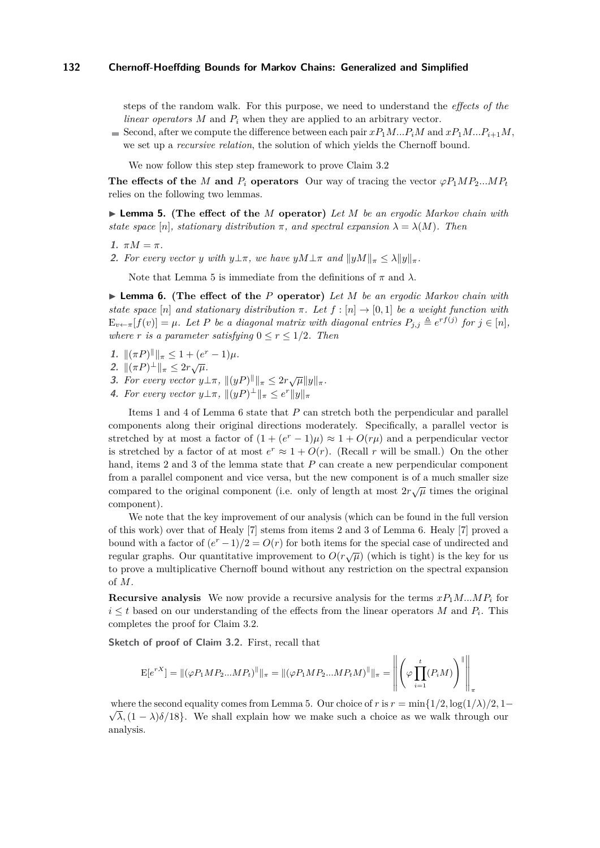steps of the random walk. For this purpose, we need to understand the *effects of the linear operators M* and *P<sup>i</sup>* when they are applied to an arbitrary vector.

Second, after we compute the difference between each pair  $xP_1M...P_iM$  and  $xP_1M...P_{i+1}M$ , we set up a *recursive relation*, the solution of which yields the Chernoff bound.

We now follow this step step framework to prove Claim [3.2](#page-5-1)

**The effects of the** *M* **and**  $P_i$  **operators** Our way of tracing the vector  $\varphi P_1 M P_2 ... M P_t$ relies on the following two lemmas.

<span id="page-8-0"></span>I **Lemma 5. (The effect of the** *M* **operator)** *Let M be an ergodic Markov chain with state space* [*n*]*, stationary distribution*  $\pi$ *, and spectral expansion*  $\lambda = \lambda(M)$ *. Then* 

- **1.**  $πM = π$ .
- **2.** For every vector *y* with  $y \perp \pi$ , we have  $yM \perp \pi$  and  $||yM||_{\pi} \leq \lambda ||y||_{\pi}$ .

Note that Lemma [5](#page-8-0) is immediate from the definitions of  $π$  and  $λ$ .

<span id="page-8-1"></span>I **Lemma 6. (The effect of the** *P* **operator)** *Let M be an ergodic Markov chain with state space* [*n*] *and stationary distribution*  $\pi$ *. Let*  $f : [n] \rightarrow [0,1]$  *be a weight function with*  $E_{v \leftarrow \pi}[f(v)] = \mu$ . Let P be a diagonal matrix with diagonal entries  $P_{j,j} \triangleq e^{r f(j)}$  for  $j \in [n]$ , *where r is a parameter satisfying*  $0 \le r \le 1/2$ *. Then* 

- **1.**  $\|(\pi P)^{\|\|_{\pi}} \leq 1 + (e^r 1)\mu$ .
- 2.  $\|(\pi P)^{\perp}\|_{\pi} \leq 2r\sqrt{\mu}$ .
- **3.** For every vector  $y \perp \pi$ ,  $||(yP)^{\parallel}||_{\pi} \leq 2r \sqrt{\mu} ||y||_{\pi}$ .
- **4.** For every vector  $y \perp \pi$ ,  $\|(yP)^{\perp}\|_{\pi} \leq e^r \|y\|_{\pi}$

Items 1 and 4 of Lemma [6](#page-8-1) state that *P* can stretch both the perpendicular and parallel components along their original directions moderately. Specifically, a parallel vector is stretched by at most a factor of  $(1 + (e^r - 1)\mu) \approx 1 + O(r\mu)$  and a perpendicular vector is stretched by a factor of at most  $e^r \approx 1 + O(r)$ . (Recall *r* will be small.) On the other hand, items 2 and 3 of the lemma state that P can create a new perpendicular component from a parallel component and vice versa, but the new component is of a much smaller size compared to the original component (i.e. only of length at most  $2r\sqrt{\mu}$  times the original component).

We note that the key improvement of our analysis (which can be found in the full version of this work) over that of Healy [\[7\]](#page-10-4) stems from items 2 and 3 of Lemma [6.](#page-8-1) Healy [\[7\]](#page-10-4) proved a bound with a factor of  $(e^r - 1)/2 = O(r)$  for both items for the special case of undirected and regular graphs. Our quantitative improvement to  $O(r\sqrt{\mu})$  (which is tight) is the key for us to prove a multiplicative Chernoff bound without any restriction on the spectral expansion of *M*.

**Recursive analysis** We now provide a recursive analysis for the terms  $xP_1M...MP_i$  for  $i \leq t$  based on our understanding of the effects from the linear operators *M* and  $P_i$ . This completes the proof for Claim [3.2.](#page-5-1)

**Sketch of proof of Claim [3.2.](#page-5-1)** First, recall that

$$
E[e^{rX}] = ||(\varphi P_1 M P_2 ... M P_t)^{\parallel}||_{\pi} = ||(\varphi P_1 M P_2 ... M P_t M)^{\parallel}||_{\pi} = \left\| \left( \varphi \prod_{i=1}^t (P_i M) \right)^{\parallel} \right\|_{\pi}
$$

where the second equality comes from Lemma [5.](#page-8-0) Our choice of *r* is  $r = \min\{1/2, \log(1/\lambda)/2, 1-\}$  $\sqrt{\lambda}$ ,  $(1 - \lambda)\delta/18$ . We shall explain how we make such a choice as we walk through our analysis.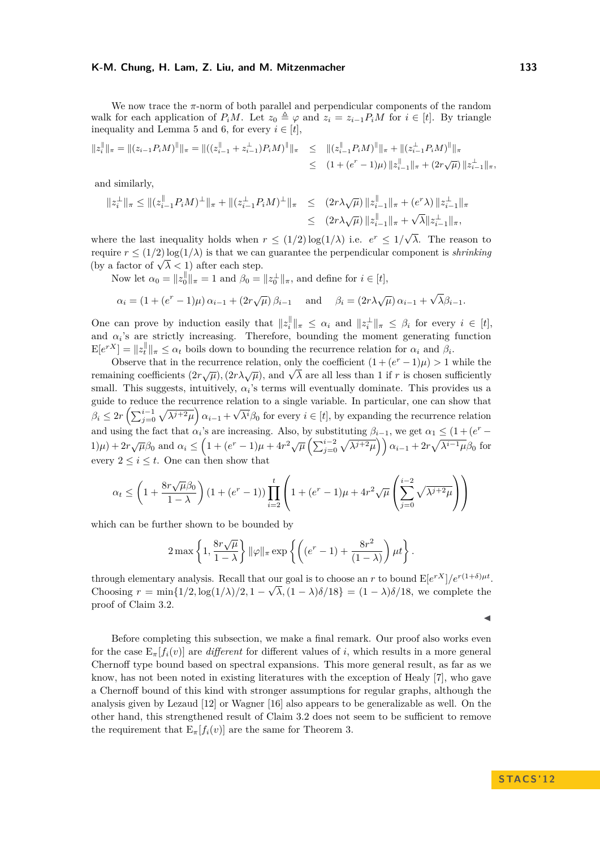We now trace the *π*-norm of both parallel and perpendicular components of the random walk for each application of  $P_iM$ . Let  $z_0 \triangleq \varphi$  and  $z_i = z_{i-1}P_iM$  for  $i \in [t]$ . By triangle inequality and Lemma [5](#page-8-0) and [6,](#page-8-1) for every  $i \in [t]$ ,

$$
\begin{aligned} \|z_i^{\parallel}\|_{\pi} &= \|(z_{i-1}P_iM)^{\parallel}\|_{\pi} = \|((z_{i-1}^{\parallel} + z_{i-1}^{\perp})P_iM)^{\parallel}\|_{\pi} &\leq \quad \|(z_{i-1}^{\parallel}P_iM)^{\parallel}\|_{\pi} + \|(z_{i-1}^{\perp}P_iM)^{\parallel}\|_{\pi} \\ &\leq \quad (1 + (e^r - 1)\mu) \, \|z_{i-1}^{\parallel}\|_{\pi} + (2r\sqrt{\mu}) \, \|z_{i-1}^{\perp}\|_{\pi}, \end{aligned}
$$

and similarly,

$$
\begin{array}{rl} \|z_i^\perp\|_\pi\leq \|(z_{i-1}^\parallel P_iM)^\perp\|_\pi+\|(z_{i-1}^\perp P_iM)^\perp\|_\pi & \leq \|(2r\lambda\sqrt\mu)\,\|z_{i-1}^\parallel\|_\pi+(e^r\lambda)\,\|z_{i-1}^\perp\|_\pi\\ & \leq \|(2r\lambda\sqrt\mu)\,\|z_{i-1}^\parallel\|_\pi+\sqrt\lambda\|z_{i-1}^\perp\|_\pi, \end{array}
$$

where the last inequality holds when  $r \leq (1/2) \log(1/\lambda)$  i.e.  $e^r \leq 1/\sqrt{\lambda}$ *λ*. The reason to require  $r \leq (1/2) \log(1/\lambda)$  is that we can guarantee the perpendicular component is *shrinking* require  $r \leq (1/2) \log(1/\lambda)$  is that we can<br>(by a factor of  $\sqrt{\lambda} < 1$ ) after each step.

Now let  $\alpha_0 = \|z_0\|_{\pi} = 1$  and  $\beta_0 = \|z_0^{\perp}\|_{\pi}$ , and define for  $i \in [t]$ ,

$$
\alpha_i = (1 + (e^r - 1)\mu) \alpha_{i-1} + (2r\sqrt{\mu}) \beta_{i-1}
$$
 and  $\beta_i = (2r\lambda\sqrt{\mu}) \alpha_{i-1} + \sqrt{\lambda}\beta_{i-1}$ .

One can prove by induction easily that  $||z_i||$  $\|f\|_{\pi} \leq \alpha_i$  and  $\|z_i^{\perp}\|_{\pi} \leq \beta_i$  for every  $i \in [t],$ and  $\alpha_i$ 's are strictly increasing. Therefore, bounding the moment generating function  $E[e^{rX}] = ||z_t^{\parallel}||_{\pi} \leq \alpha_t$  boils down to bounding the recurrence relation for  $\alpha_i$  and  $\beta_i$ .

Observe that in the recurrence relation, only the coefficient  $(1 + (e^r - 1)\mu) > 1$  while the Coserve that in the recurrence relation, only the coefficient  $(1 + (e - 1)\mu) > 1$  while the remaining coefficients  $(2r\sqrt{\mu})$ ,  $(2r\sqrt{\mu})$ , and  $\sqrt{\lambda}$  are all less than 1 if *r* is chosen sufficiently small. This suggests, intuitively,  $\alpha_i$ 's terms will eventually dominate. This provides us a guide to reduce the recurrence relation to a single variable. In particular, one can show that  $\beta_i \leq 2r\left(\sum_{j=0}^{i-1} \sqrt{\lambda^{j+2}\mu}\right) \alpha_{i-1} +$ √  $\lambda^{i}\beta_{0}$  for every  $i \in [t]$ , by expanding the recurrence relation and using the fact that  $\alpha_i$ 's are increasing. Also, by substituting  $\beta_{i-1}$ , we get  $\alpha_1 \leq (1 + (e^r (1)\mu$  +  $2r\sqrt{\mu\beta_0}$  and  $\alpha_i \leq \left(1 + (e^r - 1)\mu + 4r^2\sqrt{\mu}\left(\sum_{j=0}^{i-2}\sqrt{\lambda^{j+2}\mu}\right)\right)\alpha_{i-1} + 2r\sqrt{\lambda^{i-1}\mu\beta_0}$  for every  $2 \leq i \leq t$ . One can then show that

$$
\alpha_t \le \left(1 + \frac{8r\sqrt{\mu}\beta_0}{1-\lambda}\right) \left(1 + (e^r - 1)\right) \prod_{i=2}^t \left(1 + (e^r - 1)\mu + 4r^2\sqrt{\mu} \left(\sum_{j=0}^{i-2} \sqrt{\lambda^{j+2}\mu}\right)\right)
$$

which can be further shown to be bounded by

$$
2\max\left\{1,\frac{8r\sqrt{\mu}}{1-\lambda}\right\}\|\varphi\|_{\pi}\exp\left\{\left((e^r-1)+\frac{8r^2}{(1-\lambda)}\right)\mu t\right\}.
$$

through elementary analysis. Recall that our goal is to choose an *r* to bound  $E[e^{rX}]/e^{r(1+\delta)\mu t}$ . Choosing  $r = \min\{1/2, \log(1/\lambda)/2, 1 - \sqrt{\lambda}, (1 - \lambda)\delta/18\} = (1 - \lambda)\delta/18$ , we complete the proof of Claim [3.2.](#page-5-1)  $\blacktriangleleft$ 

Before completing this subsection, we make a final remark. Our proof also works even for the case  $E_{\pi}[f_i(v)]$  are *different* for different values of *i*, which results in a more general Chernoff type bound based on spectral expansions. This more general result, as far as we know, has not been noted in existing literatures with the exception of Healy [\[7\]](#page-10-4), who gave a Chernoff bound of this kind with stronger assumptions for regular graphs, although the analysis given by Lezaud [\[12\]](#page-10-3) or Wagner [\[16\]](#page-11-2) also appears to be generalizable as well. On the other hand, this strengthened result of Claim [3.2](#page-5-1) does not seem to be sufficient to remove the requirement that  $E_{\pi}[f_i(v)]$  are the same for Theorem [3.](#page-3-0)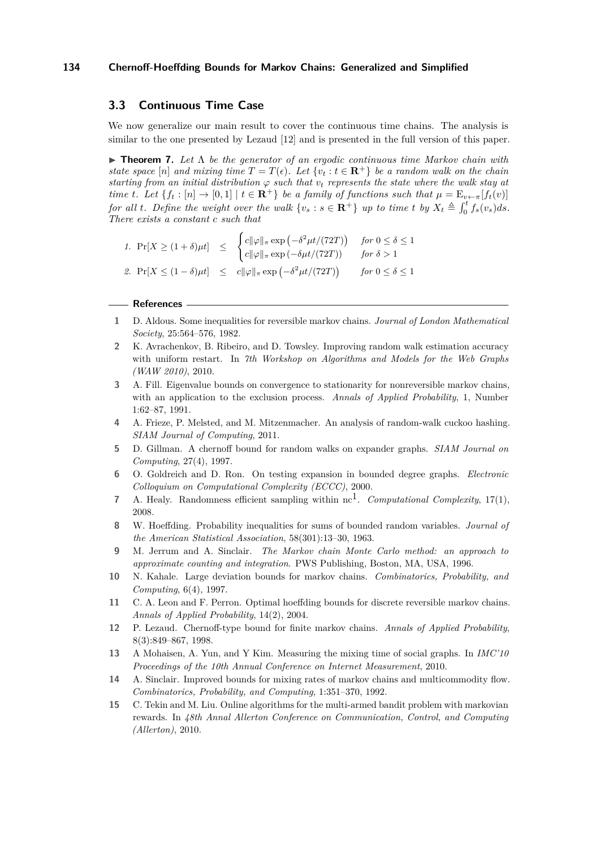## **3.3 Continuous Time Case**

We now generalize our main result to cover the continuous time chains. The analysis is similar to the one presented by Lezaud [\[12\]](#page-10-3) and is presented in the full version of this paper.

**► Theorem 7.** Let  $Λ$  be the generator of an ergodic continuous time Markov chain with *state space* [*n*] *and mixing time*  $T = T(\epsilon)$ *. Let*  $\{v_t : t \in \mathbb{R}^+\}$  *be a random walk on the chain starting from an initial distribution*  $\varphi$  *such that*  $v_t$  *represents the state where the walk stay at time t.* Let  $\{f_t : [n] \to [0,1] \mid t \in \mathbf{R}^+\}$  *be a family of functions such that*  $\mu = \mathrm{E}_{v \leftarrow \pi}[f_t(v)]$ for all t. Define the weight over the walk  $\{v_s : s \in \mathbf{R}^+\}$  up to time t by  $X_t \triangleq \int_0^t f_s(v_s) ds$ . *There exists a constant c such that*

*1.*  $Pr[X \geq (1+\delta)\mu t] \leq$  $\int c \|\varphi\|_{\pi} \exp\left(-\delta^2 \mu t/(72T)\right)$  *for*  $0 \le \delta \le 1$  $c\|\varphi\|_{\pi} \exp(-\delta \mu t/(72T))$  *for*  $\delta > 1$ 2.  $\Pr[X \le (1 - \delta)\mu t] \le c \|\varphi\|_{\pi} \exp\left(-\delta^2 \mu t/(72T)\right) \quad \text{for } 0 \le \delta \le 1$ 

#### **References**

- <span id="page-10-14"></span>**1** D. Aldous. Some inequalities for reversible markov chains. *Journal of London Mathematical Society*, 25:564–576, 1982.
- <span id="page-10-8"></span>**2** K. Avrachenkov, B. Ribeiro, and D. Towsley. Improving random walk estimation accuracy with uniform restart. In *7th Workshop on Algorithms and Models for the Web Graphs (WAW 2010)*, 2010.
- <span id="page-10-11"></span>**3** A. Fill. Eigenvalue bounds on convergence to stationarity for nonreversible markov chains, with an application to the exclusion process. *Annals of Applied Probability*, 1, Number 1:62–87, 1991.
- <span id="page-10-10"></span>**4** A. Frieze, P. Melsted, and M. Mitzenmacher. An analysis of random-walk cuckoo hashing. *SIAM Journal of Computing*, 2011.
- <span id="page-10-0"></span>**5** D. Gillman. A chernoff bound for random walks on expander graphs. *SIAM Journal on Computing*, 27(4), 1997.
- <span id="page-10-7"></span>**6** O. Goldreich and D. Ron. On testing expansion in bounded degree graphs. *Electronic Colloquium on Computational Complexity (ECCC)*, 2000.
- <span id="page-10-4"></span>**7** A. Healy. Randomness efficient sampling within  $nc^1$ . *Computational Complexity*, 17(1), 2008.
- <span id="page-10-12"></span>**8** W. Hoeffding. Probability inequalities for sums of bounded random variables. *Journal of the American Statistical Association*, 58(301):13–30, 1963.
- <span id="page-10-5"></span>**9** M. Jerrum and A. Sinclair. *The Markov chain Monte Carlo method: an approach to approximate counting and integration*. PWS Publishing, Boston, MA, USA, 1996.
- <span id="page-10-1"></span>**10** N. Kahale. Large deviation bounds for markov chains. *Combinatorics, Probability, and Computing*, 6(4), 1997.
- <span id="page-10-2"></span>**11** C. A. Leon and F. Perron. Optimal hoeffding bounds for discrete reversible markov chains. *Annals of Applied Probability*, 14(2), 2004.
- <span id="page-10-3"></span>**12** P. Lezaud. Chernoff-type bound for finite markov chains. *Annals of Applied Probability*, 8(3):849–867, 1998.
- <span id="page-10-9"></span>**13** A Mohaisen, A. Yun, and Y Kim. Measuring the mixing time of social graphs. In *IMC'10 Proceedings of the 10th Annual Conference on Internet Measurement*, 2010.
- <span id="page-10-13"></span>**14** A. Sinclair. Improved bounds for mixing rates of markov chains and multicommodity flow. *Combinatorics, Probability, and Computing*, 1:351–370, 1992.
- <span id="page-10-6"></span>**15** C. Tekin and M. Liu. Online algorithms for the multi-armed bandit problem with markovian rewards. In *48th Annal Allerton Conference on Communication, Control, and Computing (Allerton)*, 2010.